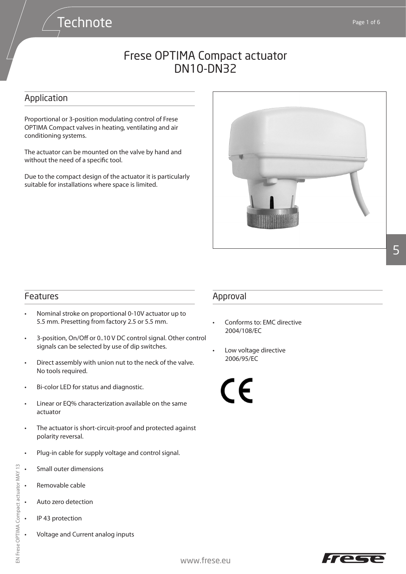### Application

Proportional or 3-position modulating control of Frese OPTIMA Compact valves in heating, ventilating and air conditioning systems.

**Technote** 

The actuator can be mounted on the valve by hand and without the need of a specific tool.

Due to the compact design of the actuator it is particularly suitable for installations where space is limited.



# 5

#### Features

- Nominal stroke on proportional 0-10V actuator up to 5.5 mm. Presetting from factory 2.5 or 5.5 mm.
- 3-position, On/Off or 0..10 V DC control signal. Other control signals can be selected by use of dip switches.
- Direct assembly with union nut to the neck of the valve. No tools required.
- Bi-color LED for status and diagnostic.
- Linear or EQ% characterization available on the same actuator
- The actuator is short-circuit-proof and protected against polarity reversal.
- Plug-in cable for supply voltage and control signal.
- Small outer dimensions
- Removable cable
- Auto zero detection
- IP 43 protection
	- Voltage and Current analog inputs

#### Approval

- Conforms to: EMC directive 2004/108/EC
- Low voltage directive 2006/95/EC

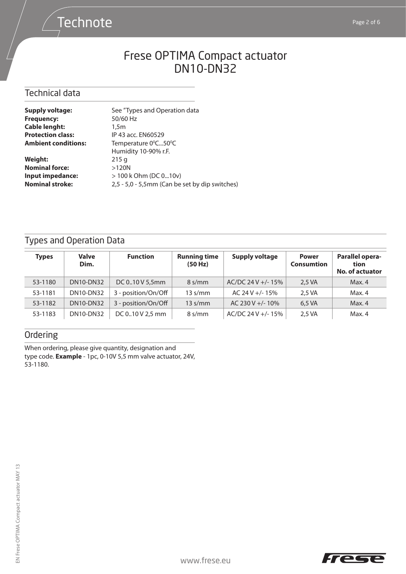# **Technote**

# Frese OPTIMA Compact actuator DN10-DN32

#### Technical data

| <b>Supply voltage:</b>     | See "Types and Operation data                  |
|----------------------------|------------------------------------------------|
| <b>Frequency:</b>          | 50/60 Hz                                       |
| <b>Cable lenght:</b>       | 1.5 <sub>m</sub>                               |
| <b>Protection class:</b>   | IP 43 acc. EN60529                             |
| <b>Ambient conditions:</b> | Temperature 0°C50°C                            |
|                            | Humidity 10-90% r.F.                           |
| <b>Weight:</b>             | 215q                                           |
| <b>Nominal force:</b>      | >120N                                          |
| Input impedance:           | $> 100$ k Ohm (DC 010v)                        |
| <b>Nominal stroke:</b>     | 2,5 - 5,0 - 5,5mm (Can be set by dip switches) |
|                            |                                                |

## Types and Operation Data

| Types   | <b>Valve</b><br>Dim. | <b>Function</b>     | <b>Running time</b><br>(50 Hz) | <b>Supply voltage</b> | <b>Power</b><br><b>Consumtion</b> | Parallel opera-<br>tion<br><b>No. of actuator</b> |
|---------|----------------------|---------------------|--------------------------------|-----------------------|-----------------------------------|---------------------------------------------------|
| 53-1180 | <b>DN10-DN32</b>     | DC 010 V 5,5mm      | $8 \frac{\text{s}}{\text{mm}}$ | $AC/DC$ 24 V +/- 15%  | 2,5 VA                            | Max. 4                                            |
| 53-1181 | <b>DN10-DN32</b>     | 3 - position/On/Off | $13 \text{ s/mm}$              | AC 24 V +/- 15%       | 2.5 VA                            | Max. 4                                            |
| 53-1182 | <b>DN10-DN32</b>     | 3 - position/On/Off | $13 \text{ s/mm}$              | AC 230 V +/- 10%      | 6,5 VA                            | Max. 4                                            |
| 53-1183 | <b>DN10-DN32</b>     | DC 010 V 2,5 mm     | $8 \frac{\text{s}}{\text{mm}}$ | $AC/DC$ 24 V +/- 15%  | 2,5 VA                            | Max. 4                                            |

### Ordering

When ordering, please give quantity, designation and type code. **Example** - 1pc, 0-10V 5,5 mm valve actuator, 24V, 53-1180.

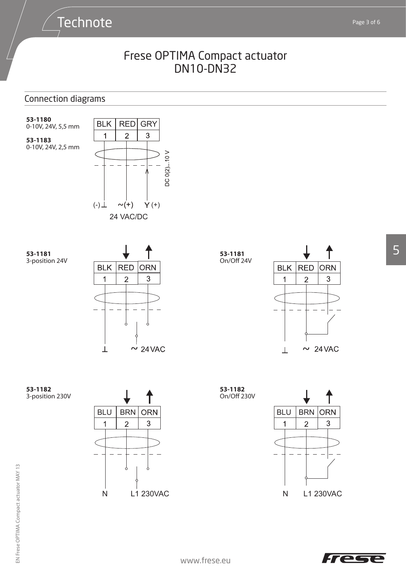### Connection diagrams

**Technote** 

**53-1180** 0-10V, 24V, 5,5 mm

**53-1183** 0-10V, 24V, 2,5 mm









**53-1182** 3-position 230V







3

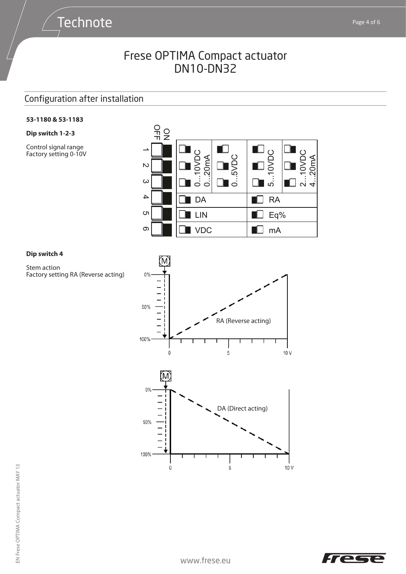### Configuration after installation

**Technote** 

#### **53-1180 & 53-1183**

**Dip switch 1-2-3**

Control signal range Factory setting 0-10V



#### **Dip switch 4**

Stem action Factory setting RA (Reverse acting)



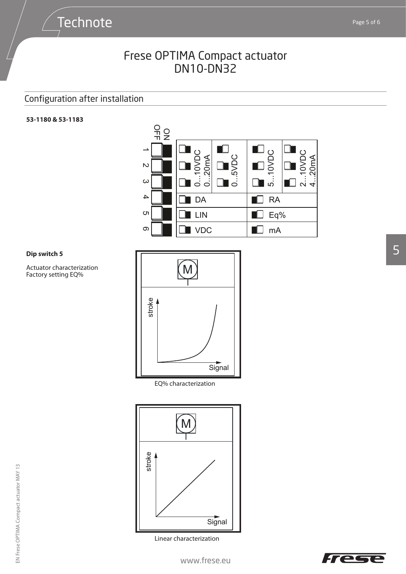## Configuration after installation

#### **53-1180 & 53-1183**



#### **Dip switch 5**

Actuator characterization Actuator characteriz<br>Factory setting EQ%



EQ% characterization



Linear characterization